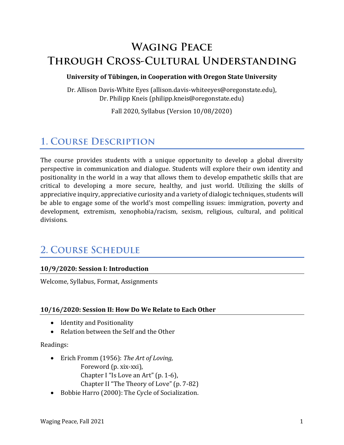# **WAGING PEACE** THROUGH CROSS-CULTURAL UNDERSTANDING

#### **University of Tübingen, in Cooperation with Oregon State University**

Dr. Allison Davis-White Eyes (allison.davis-whiteeyes@oregonstate.edu), Dr. Philipp Kneis (philipp.kneis@oregonstate.edu)

Fall 2020, Syllabus (Version 10/08/2020)

## **1. COURSE DESCRIPTION**

The course provides students with a unique opportunity to develop a global diversity perspective in communication and dialogue. Students will explore their own identity and positionality in the world in a way that allows them to develop empathetic skills that are critical to developing a more secure, healthy, and just world. Utilizing the skills of appreciative inquiry, appreciative curiosity and a variety of dialogic techniques, students will be able to engage some of the world's most compelling issues: immigration, poverty and development, extremism, xenophobia/racism, sexism, religious, cultural, and political divisions.

## **2. COURSE SCHEDULE**

## **10/9/2020: Session I: Introduction**

Welcome, Syllabus, Format, Assignments

## **10/16/2020: Session II: How Do We Relate to Each Other**

- Identity and Positionality
- Relation between the Self and the Other

#### Readings:

- Erich Fromm (1956): *The Art of Loving,* Foreword (p. xix-xxi), Chapter I "Is Love an Art" (p. 1-6), Chapter II "The Theory of Love" (p. 7-82)
- Bobbie Harro (2000): The Cycle of Socialization.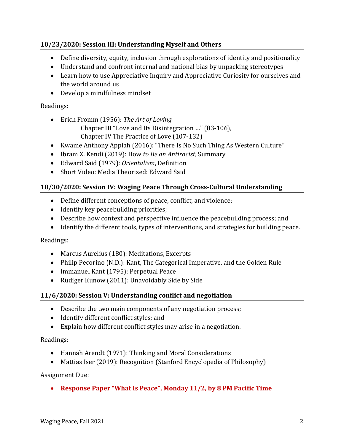## **10/23/2020: Session III: Understanding Myself and Others**

- Define diversity, equity, inclusion through explorations of identity and positionality
- Understand and confront internal and national bias by unpacking stereotypes
- Learn how to use Appreciative Inquiry and Appreciative Curiosity for ourselves and the world around us
- Develop a mindfulness mindset

## Readings:

- Erich Fromm (1956): *The Art of Loving* Chapter III "Love and Its Disintegration …" (83-106), Chapter IV The Practice of Love (107-132)
- Kwame Anthony Appiah (2016): "There Is No Such Thing As Western Culture"
- Ibram X. Kendi (2019): How *to Be an Antiracist*, Summary
- Edward Said (1979): *Orientalism*, Definition
- Short Video: Media Theorized: Edward Said

## **10/30/2020: Session IV: Waging Peace Through Cross-Cultural Understanding**

- Define different conceptions of peace, conflict, and violence;
- Identify key peacebuilding priorities;
- Describe how context and perspective influence the peacebuilding process; and
- Identify the different tools, types of interventions, and strategies for building peace.

Readings:

- Marcus Aurelius (180): Meditations, Excerpts
- Philip Pecorino (N.D.): Kant, The Categorical Imperative, and the Golden Rule
- Immanuel Kant (1795): Perpetual Peace
- Rüdiger Kunow (2011): Unavoidably Side by Side

## **11/6/2020: Session V: Understanding conflict and negotiation**

- Describe the two main components of any negotiation process;
- Identify different conflict styles; and
- Explain how different conflict styles may arise in a negotiation.

## Readings:

- Hannah Arendt (1971): Thinking and Moral Considerations
- Mattias Iser (2019): Recognition (Stanford Encyclopedia of Philosophy)

## Assignment Due:

• **Response Paper "What Is Peace", Monday 11/2, by 8 PM Pacific Time**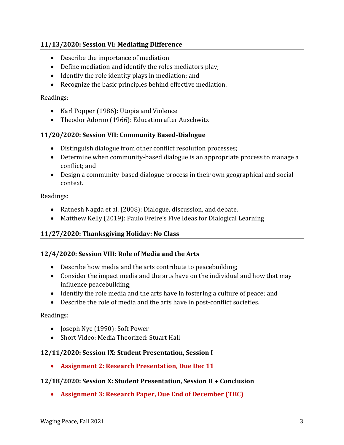## **11/13/2020: Session VI: Mediating Difference**

- Describe the importance of mediation
- Define mediation and identify the roles mediators play;
- Identify the role identity plays in mediation; and
- Recognize the basic principles behind effective mediation.

#### Readings:

- Karl Popper (1986): Utopia and Violence
- Theodor Adorno (1966): Education after Auschwitz

#### **11/20/2020: Session VII: Community Based-Dialogue**

- Distinguish dialogue from other conflict resolution processes;
- Determine when community-based dialogue is an appropriate process to manage a conflict; and
- Design a community-based dialogue process in their own geographical and social context.

Readings:

- Ratnesh Nagda et al. (2008): Dialogue, discussion, and debate.
- Matthew Kelly (2019): Paulo Freire's Five Ideas for Dialogical Learning

## **11/27/2020: Thanksgiving Holiday: No Class**

#### **12/4/2020: Session VIII: Role of Media and the Arts**

- Describe how media and the arts contribute to peacebuilding;
- Consider the impact media and the arts have on the individual and how that may influence peacebuilding;
- Identify the role media and the arts have in fostering a culture of peace; and
- Describe the role of media and the arts have in post-conflict societies.

#### Readings:

- Joseph Nye (1990): Soft Power
- Short Video: Media Theorized: Stuart Hall

#### **12/11/2020: Session IX: Student Presentation, Session I**

• **Assignment 2: Research Presentation, Due Dec 11**

#### **12/18/2020: Session X: Student Presentation, Session II + Conclusion**

• **Assignment 3: Research Paper, Due End of December (TBC)**